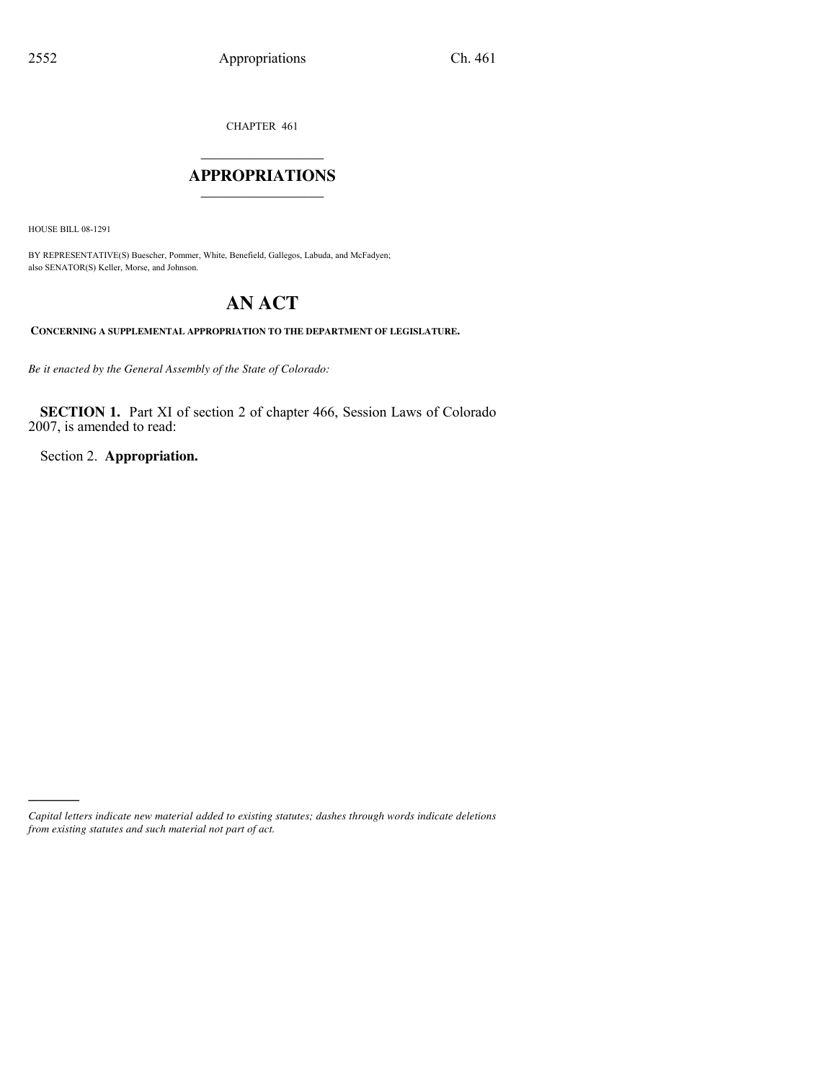CHAPTER 461

### $\mathcal{L}_\text{max}$  . The set of the set of the set of the set of the set of the set of the set of the set of the set of the set of the set of the set of the set of the set of the set of the set of the set of the set of the set **APPROPRIATIONS** \_\_\_\_\_\_\_\_\_\_\_\_\_\_\_

HOUSE BILL 08-1291

)))))

BY REPRESENTATIVE(S) Buescher, Pommer, White, Benefield, Gallegos, Labuda, and McFadyen; also SENATOR(S) Keller, Morse, and Johnson.

# **AN ACT**

**CONCERNING A SUPPLEMENTAL APPROPRIATION TO THE DEPARTMENT OF LEGISLATURE.**

*Be it enacted by the General Assembly of the State of Colorado:*

**SECTION 1.** Part XI of section 2 of chapter 466, Session Laws of Colorado 2007, is amended to read:

Section 2. **Appropriation.**

*Capital letters indicate new material added to existing statutes; dashes through words indicate deletions from existing statutes and such material not part of act.*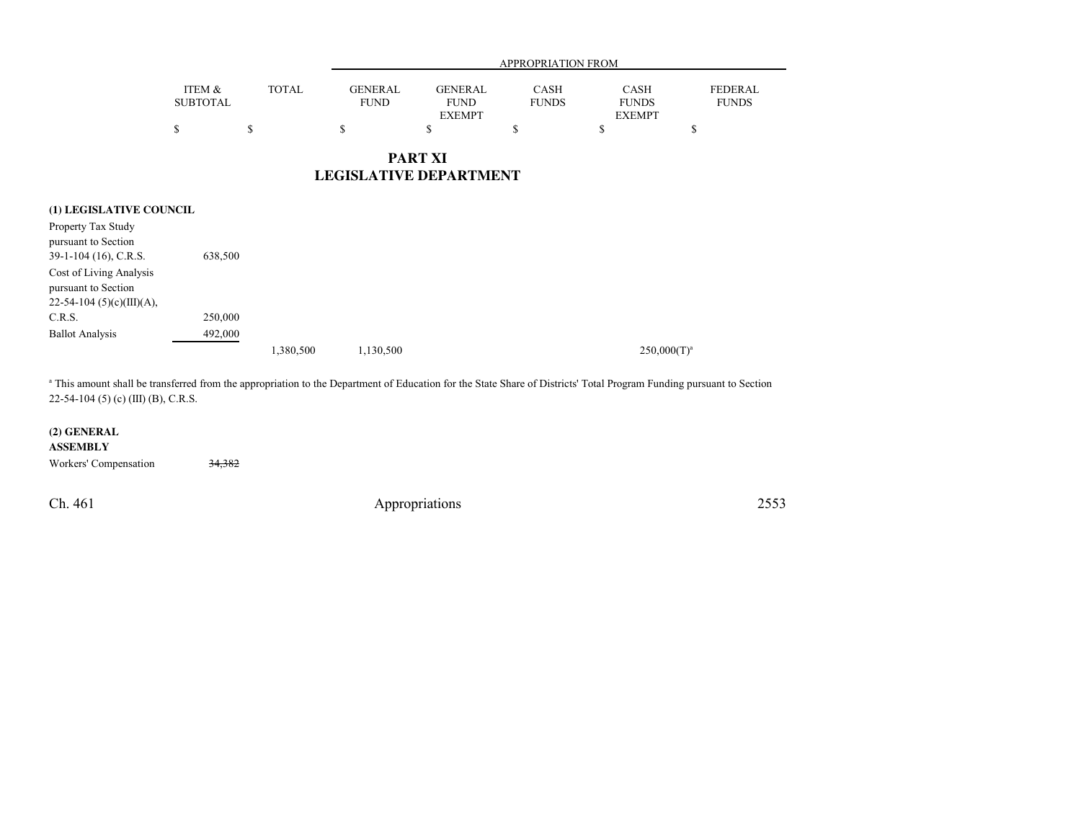|                 |       |                | <b>APPROPRIATION FROM</b> |              |               |                |  |  |  |
|-----------------|-------|----------------|---------------------------|--------------|---------------|----------------|--|--|--|
| ITEM &          | TOTAL | <b>GENERAL</b> | <b>GENERAL</b>            | CASH         | <b>CASH</b>   | <b>FEDERAL</b> |  |  |  |
| <b>SUBTOTAL</b> |       | <b>FUND</b>    | <b>FUND</b>               | <b>FUNDS</b> | <b>FUNDS</b>  | <b>FUNDS</b>   |  |  |  |
|                 |       |                | <b>EXEMPT</b>             |              | <b>EXEMPT</b> |                |  |  |  |
|                 |       |                |                           |              |               |                |  |  |  |

**PART XILEGISLATIVE DEPARTMENT**

| (1) LEGISLATIVE COUNCIL                                                       |         |           |           |                |
|-------------------------------------------------------------------------------|---------|-----------|-----------|----------------|
| Property Tax Study<br>pursuant to Section<br>$39-1-104$ (16), C.R.S.          | 638,500 |           |           |                |
| Cost of Living Analysis<br>pursuant to Section<br>$22-54-104$ (5)(c)(III)(A), |         |           |           |                |
| C.R.S.                                                                        | 250,000 |           |           |                |
| <b>Ballot Analysis</b>                                                        | 492,000 |           |           |                |
|                                                                               |         | 1,380,500 | 1,130,500 | $250,000(T)^a$ |

<sup>a</sup> This amount shall be transferred from the appropriation to the Department of Education for the State Share of Districts' Total Program Funding pursuant to Section 22-54-104 (5) (c) (III) (B), C.R.S.

#### **(2) GENERAL**

**ASSEMBLY**

Workers' Compensation 34,382

Ch. 461

Appropriations <sup>2553</sup>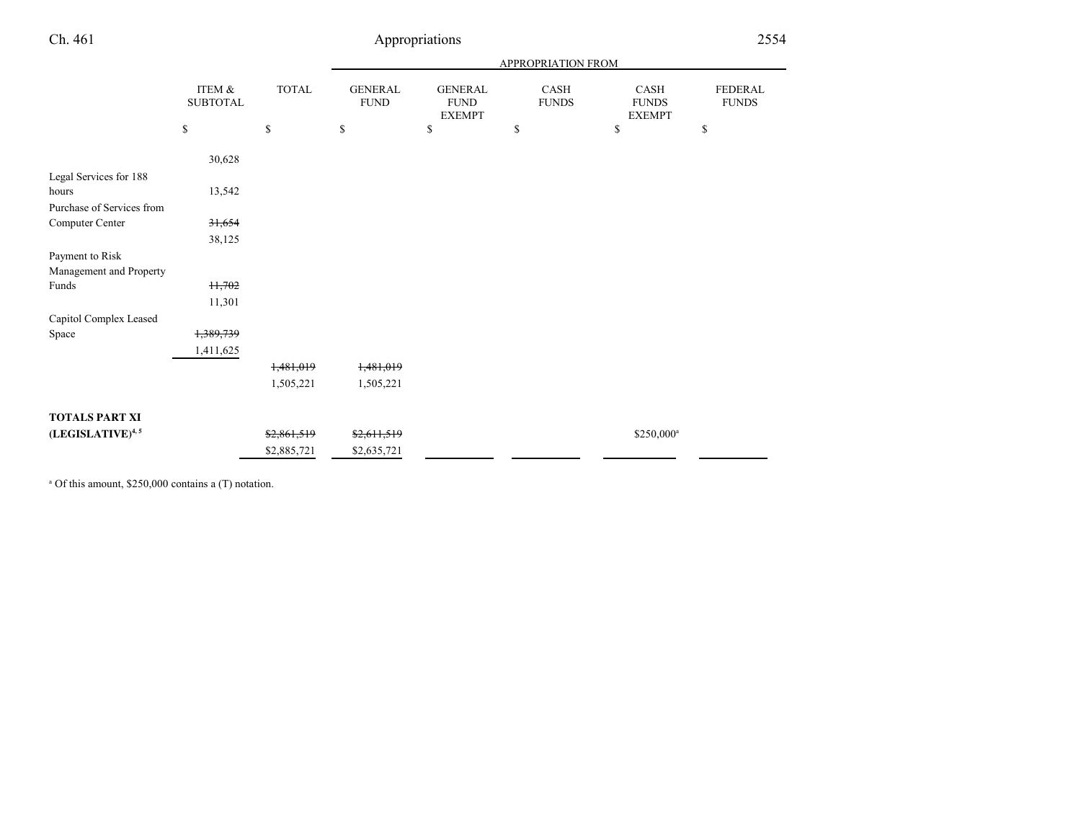## Ch. 461

## Appropriations <sup>2554</sup>

|                              |                           |              | APPROPRIATION FROM            |                                                |                             |                                       |                                |  |
|------------------------------|---------------------------|--------------|-------------------------------|------------------------------------------------|-----------------------------|---------------------------------------|--------------------------------|--|
|                              | ITEM &<br><b>SUBTOTAL</b> | <b>TOTAL</b> | <b>GENERAL</b><br><b>FUND</b> | <b>GENERAL</b><br><b>FUND</b><br><b>EXEMPT</b> | <b>CASH</b><br><b>FUNDS</b> | CASH<br><b>FUNDS</b><br><b>EXEMPT</b> | <b>FEDERAL</b><br><b>FUNDS</b> |  |
|                              | \$                        | \$           | \$                            | \$                                             | \$                          | \$                                    | \$                             |  |
|                              | 30,628                    |              |                               |                                                |                             |                                       |                                |  |
| Legal Services for 188       |                           |              |                               |                                                |                             |                                       |                                |  |
| hours                        | 13,542                    |              |                               |                                                |                             |                                       |                                |  |
| Purchase of Services from    |                           |              |                               |                                                |                             |                                       |                                |  |
| Computer Center              | 31,654                    |              |                               |                                                |                             |                                       |                                |  |
|                              | 38,125                    |              |                               |                                                |                             |                                       |                                |  |
| Payment to Risk              |                           |              |                               |                                                |                             |                                       |                                |  |
| Management and Property      |                           |              |                               |                                                |                             |                                       |                                |  |
| Funds                        | H,702                     |              |                               |                                                |                             |                                       |                                |  |
|                              | 11,301                    |              |                               |                                                |                             |                                       |                                |  |
| Capitol Complex Leased       |                           |              |                               |                                                |                             |                                       |                                |  |
| Space                        | 1,389,739                 |              |                               |                                                |                             |                                       |                                |  |
|                              | 1,411,625                 |              |                               |                                                |                             |                                       |                                |  |
|                              |                           | 1,481,019    | 1,481,019                     |                                                |                             |                                       |                                |  |
|                              |                           | 1,505,221    | 1,505,221                     |                                                |                             |                                       |                                |  |
| <b>TOTALS PART XI</b>        |                           |              |                               |                                                |                             |                                       |                                |  |
| (LEGISLATIVE) <sup>4,5</sup> |                           | \$2,861,519  | \$2,611,519                   |                                                |                             | \$250,000 <sup>a</sup>                |                                |  |
|                              |                           | \$2,885,721  | \$2,635,721                   |                                                |                             |                                       |                                |  |

a Of this amount, \$250,000 contains a (T) notation.